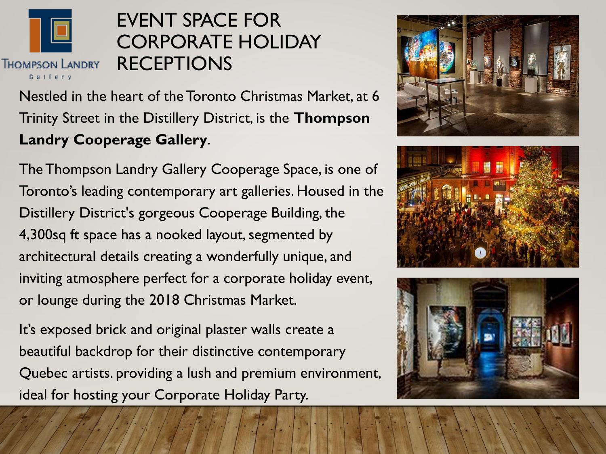

## EVENT SPACE FOR CORPORATE HOLIDAY **RECEPTIONS**

Nestled in the heart of the Toronto Christmas Market, at 6 Trinity Street in the Distillery District, is the **Thompson Landry Cooperage Gallery**.

The Thompson Landry Gallery Cooperage Space, is one of Toronto's leading contemporary art galleries. Housed in the Distillery District's gorgeous Cooperage Building, the 4,300sq ft space has a nooked layout, segmented by architectural details creating a wonderfully unique, and inviting atmosphere perfect for a corporate holiday event, or lounge during the 2018 Christmas Market.

It's exposed brick and original plaster walls create a beautiful backdrop for their distinctive contemporary Quebec artists. providing a lush and premium environment, ideal for hosting your Corporate Holiday Party.





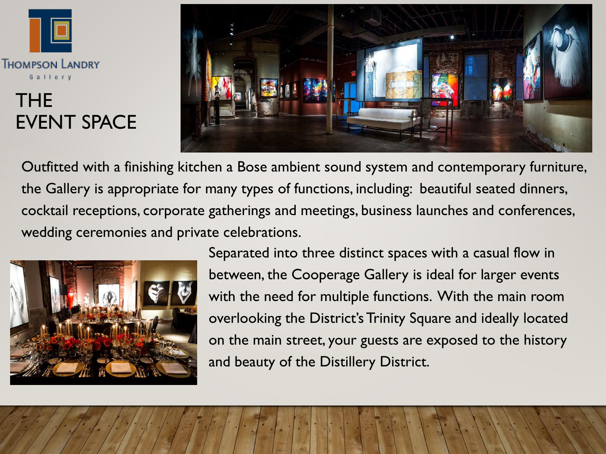

## THE EVENT SPACE



Outfitted with a finishing kitchen a Bose ambient sound system and contemporary furniture, the Gallery is appropriate for many types of functions, including: beautiful seated dinners, cocktail receptions, corporate gatherings and meetings, business launches and conferences, wedding ceremonies and private celebrations.



Separated into three distinct spaces with a casual flow in between, the Cooperage Gallery is ideal for larger events with the need for multiple functions. With the main room overlooking the District's Trinity Square and ideally located on the main street, your guests are exposed to the history and beauty of the Distillery District.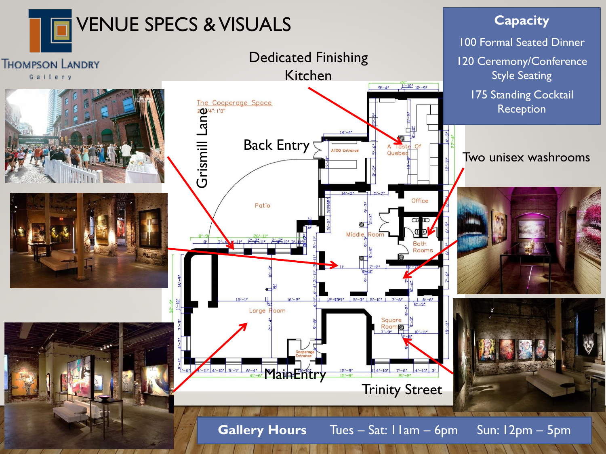